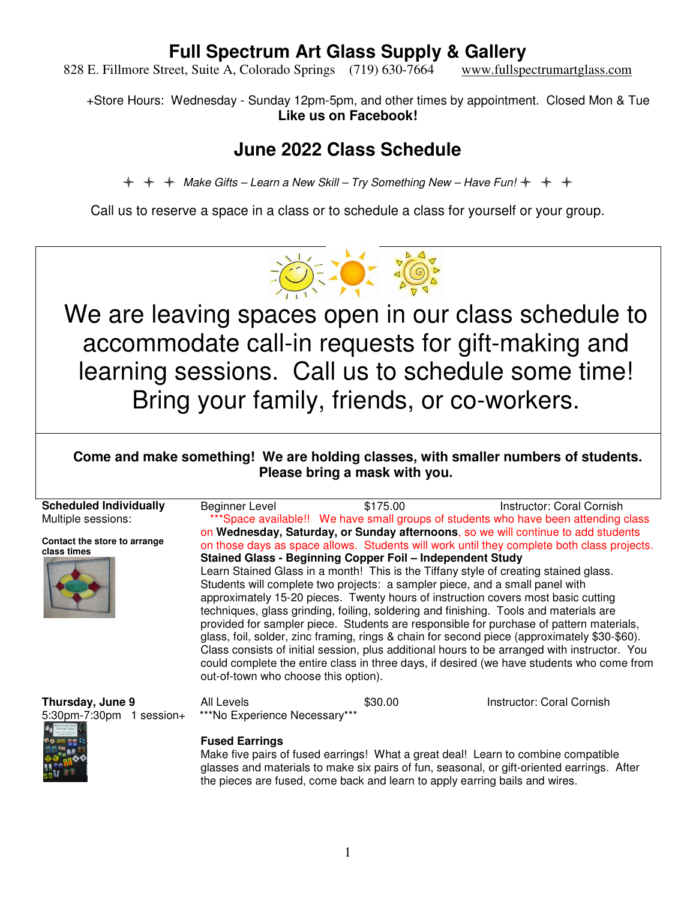828 E. Fillmore Street, Suite A, Colorado Springs (719) 630-7664 www.fullspectrumartglass.com

+Store Hours: Wednesday - Sunday 12pm-5pm, and other times by appointment. Closed Mon & Tue **Like us on Facebook!** 

## **June 2022 Class Schedule**

 $\div$   $\div$  Make Gifts – Learn a New Skill – Try Something New – Have Fun!  $\div$   $\div$   $\div$ 

Call us to reserve a space in a class or to schedule a class for yourself or your group.

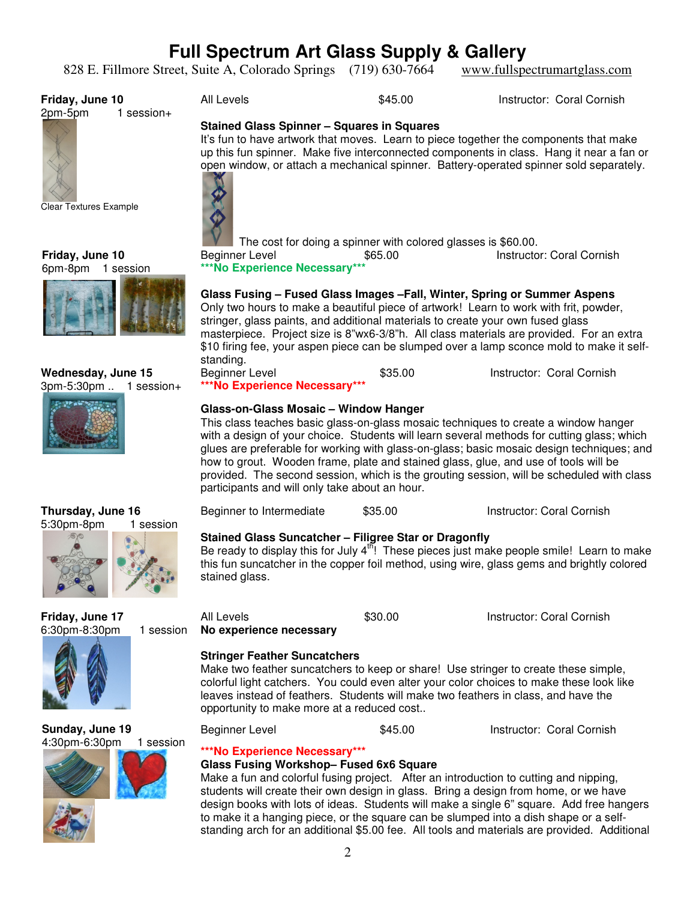828 E. Fillmore Street, Suite A, Colorado Springs (719) 630-7664 www.fullspectrumartglass.com

**Stained Glass Spinner – Squares in Squares** 

**Friday, June 10**

 $1$  session $+$ 



**Clear Textures Example** 

**Friday, June 10** 6pm-8pm 1 session



The cost for doing a spinner with colored glasses is \$60.00.

**\*\*\*No Experience Necessary\*\*\*** 

Beginner Level **65.00** S65.00 **Instructor: Coral Cornish** 

**Glass Fusing – Fused Glass Images –Fall, Winter, Spring or Summer Aspens** 

All Levels **6.12 Instructor: Coral Cornish \$45.00** Instructor: Coral Cornish

It's fun to have artwork that moves. Learn to piece together the components that make up this fun spinner. Make five interconnected components in class. Hang it near a fan or open window, or attach a mechanical spinner. Battery-operated spinner sold separately.

Only two hours to make a beautiful piece of artwork! Learn to work with frit, powder, stringer, glass paints, and additional materials to create your own fused glass masterpiece. Project size is 8"wx6-3/8"h. All class materials are provided. For an extra \$10 firing fee, your aspen piece can be slumped over a lamp sconce mold to make it selfstanding.

Beginner Level **695.00** S35.00 **Instructor: Coral Cornish** 

**\*\*\*No Experience Necessary\*\*\*** 

### **Glass-on-Glass Mosaic – Window Hanger**

This class teaches basic glass-on-glass mosaic techniques to create a window hanger with a design of your choice. Students will learn several methods for cutting glass; which glues are preferable for working with glass-on-glass; basic mosaic design techniques; and how to grout. Wooden frame, plate and stained glass, glue, and use of tools will be provided. The second session, which is the grouting session, will be scheduled with class participants and will only take about an hour.

Beginner to Intermediate \$35.00 Instructor: Coral Cornish

### **Stained Glass Suncatcher – Filigree Star or Dragonfly**

Be ready to display this for July  $4^{15}$ ! These pieces just make people smile! Learn to make this fun suncatcher in the copper foil method, using wire, glass gems and brightly colored stained glass.

**Friday, June 17** 6:30pm-8:30pm 1 session





**Sunday, June 19** 4:30pm-6:30pm 1 session



leaves instead of feathers. Students will make two feathers in class, and have the opportunity to make more at a reduced cost..

All Levels **60.00** S30.00 **Instructor: Coral Cornish** 

Make two feather suncatchers to keep or share! Use stringer to create these simple, colorful light catchers. You could even alter your color choices to make these look like

Beginner Level **\$45.00** Instructor: Coral Cornish

## **\*\*\*No Experience Necessary\*\*\***

**No experience necessary** 

**Stringer Feather Suncatchers** 

## **Glass Fusing Workshop– Fused 6x6 Square**

Make a fun and colorful fusing project. After an introduction to cutting and nipping, students will create their own design in glass. Bring a design from home, or we have design books with lots of ideas. Students will make a single 6" square. Add free hangers to make it a hanging piece, or the square can be slumped into a dish shape or a selfstanding arch for an additional \$5.00 fee. All tools and materials are provided. Additional



**Thursday, June 16**

 $\overline{\phantom{a}}$ 

**Wednesday, June 15** 3pm-5:30pm .. 1 session+



2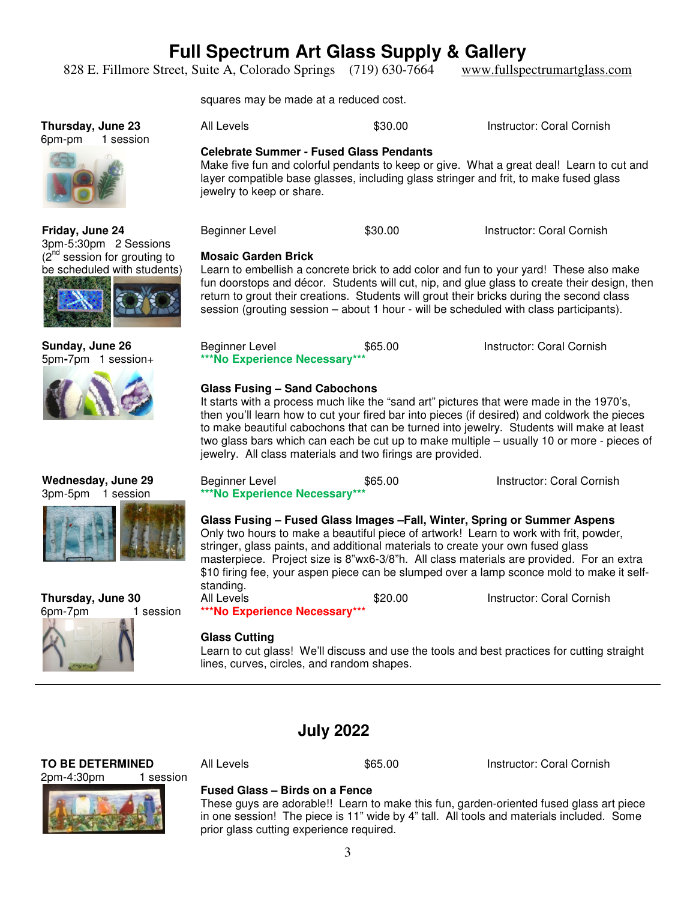828 E. Fillmore Street, Suite A, Colorado Springs (719) 630-7664 www.fullspectrumartglass.com

squares may be made at a reduced cost.

**Thursday, June 23** 6pm-pm 1 session



**Friday, June 24** 3pm-5:30pm 2 Sessions  $(2<sup>nd</sup>$  session for grouting to be scheduled with students)



**Sunday, June 26** 5pm**-**7pm1 session+



**Wednesday, June 29** 3pm-5pm 1 session

**Thursday, June 30**

 $\overline{\phantom{a}}$ 

6pm-7pm 1 session



Make five fun and colorful pendants to keep or give. What a great deal! Learn to cut and layer compatible base glasses, including glass stringer and frit, to make fused glass jewelry to keep or share.

All Levels **\$30.00** Instructor: Coral Cornish

Beginner Level **\$30.00** Instructor: Coral Cornish

### **Mosaic Garden Brick**

Learn to embellish a concrete brick to add color and fun to your yard! These also make fun doorstops and décor. Students will cut, nip, and glue glass to create their design, then return to grout their creations. Students will grout their bricks during the second class session (grouting session – about 1 hour - will be scheduled with class participants).

| Beginner Level                | \$65.00 | Instructor: Coral Cornish |
|-------------------------------|---------|---------------------------|
| ***No Experience Necessary*** |         |                           |

### **Glass Fusing – Sand Cabochons**

It starts with a process much like the "sand art" pictures that were made in the 1970's, then you'll learn how to cut your fired bar into pieces (if desired) and coldwork the pieces to make beautiful cabochons that can be turned into jewelry. Students will make at least two glass bars which can each be cut up to make multiple – usually 10 or more - pieces of jewelry. All class materials and two firings are provided.

| Beginner Level                | \$65.00 | Instructor: Coral Cornish |
|-------------------------------|---------|---------------------------|
| ***No Experience Necessary*** |         |                           |

**Glass Fusing – Fused Glass Images –Fall, Winter, Spring or Summer Aspens**  Only two hours to make a beautiful piece of artwork! Learn to work with frit, powder, stringer, glass paints, and additional materials to create your own fused glass masterpiece. Project size is 8"wx6-3/8"h. All class materials are provided. For an extra \$10 firing fee, your aspen piece can be slumped over a lamp sconce mold to make it selfstanding. All Levels **620.00** S20.00 **Instructor: Coral Cornish** 

**\*\*\*No Experience Necessary\*\*\*** 

### **Glass Cutting**

Learn to cut glass! We'll discuss and use the tools and best practices for cutting straight lines, curves, circles, and random shapes.

## **July 2022**

**TO BE DETERMINED** 2pm-4:30pm 1 session

All Levels \$65.00 Instructor: Coral Cornish



### **Fused Glass – Birds on a Fence**

These guys are adorable!! Learn to make this fun, garden-oriented fused glass art piece in one session! The piece is 11" wide by 4" tall. All tools and materials included. Some prior glass cutting experience required.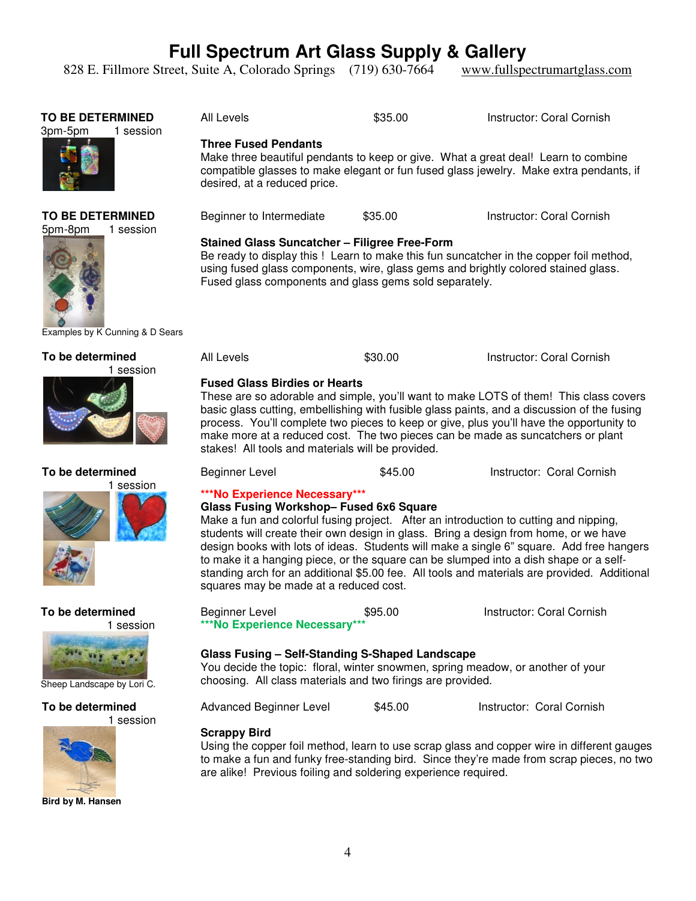828 E. Fillmore Street, Suite A, Colorado Springs (719) 630-7664 www.fullspectrumartglass.com



**Bird by M. Hansen**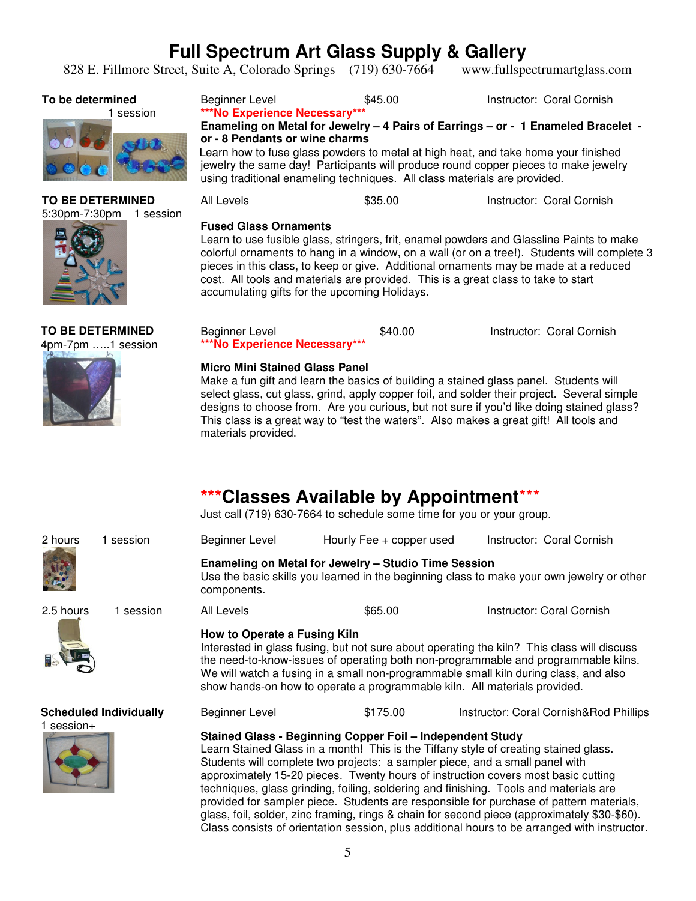828 E. Fillmore Street, Suite A, Colorado Springs (719) 630-7664 www.fullspectrumartglass.com

### **To be determined**

1 session



#### **TO BE DETERMINED** 5:30pm-7:30pm 1 session



**TO BE DETERMINED** 4pm-7pm …..1 session





**Enameling on Metal for Jewelry – 4 Pairs of Earrings – or - 1 Enameled Bracelet or - 8 Pendants or wine charms**

Learn how to fuse glass powders to metal at high heat, and take home your finished jewelry the same day! Participants will produce round copper pieces to make jewelry using traditional enameling techniques. All class materials are provided.

| All Levels | \$35.00 | Instructor: Coral Cornish |
|------------|---------|---------------------------|
|------------|---------|---------------------------|

### **Fused Glass Ornaments**

Learn to use fusible glass, stringers, frit, enamel powders and Glassline Paints to make colorful ornaments to hang in a window, on a wall (or on a tree!). Students will complete 3 pieces in this class, to keep or give. Additional ornaments may be made at a reduced cost. All tools and materials are provided. This is a great class to take to start accumulating gifts for the upcoming Holidays.

| Beginner Level                | \$40.00 | Instructor: Coral Cornish |
|-------------------------------|---------|---------------------------|
| ***No Experience Necessary*** |         |                           |

### **Micro Mini Stained Glass Panel**

Make a fun gift and learn the basics of building a stained glass panel. Students will select glass, cut glass, grind, apply copper foil, and solder their project. Several simple designs to choose from. Are you curious, but not sure if you'd like doing stained glass? This class is a great way to "test the waters". Also makes a great gift! All tools and materials provided.

## **\*\*\*Classes Available by Appointment**\*\*\*

Just call (719) 630-7664 to schedule some time for you or your group.

| 2 hours    | 1 session                     | Beginner Level                                                                                                                                                                                                                                                                                                                                                                                                                                                                                                                                                                                                                                                                                             | Hourly Fee + copper used                                                                                                                          | Instructor: Coral Cornish              |  |
|------------|-------------------------------|------------------------------------------------------------------------------------------------------------------------------------------------------------------------------------------------------------------------------------------------------------------------------------------------------------------------------------------------------------------------------------------------------------------------------------------------------------------------------------------------------------------------------------------------------------------------------------------------------------------------------------------------------------------------------------------------------------|---------------------------------------------------------------------------------------------------------------------------------------------------|----------------------------------------|--|
|            |                               | components.                                                                                                                                                                                                                                                                                                                                                                                                                                                                                                                                                                                                                                                                                                | Enameling on Metal for Jewelry - Studio Time Session<br>Use the basic skills you learned in the beginning class to make your own jewelry or other |                                        |  |
| 2.5 hours  | 1 session                     | All Levels                                                                                                                                                                                                                                                                                                                                                                                                                                                                                                                                                                                                                                                                                                 | \$65.00                                                                                                                                           | Instructor: Coral Cornish              |  |
|            |                               | How to Operate a Fusing Kiln<br>Interested in glass fusing, but not sure about operating the kiln? This class will discuss<br>the need-to-know-issues of operating both non-programmable and programmable kilns.<br>We will watch a fusing in a small non-programmable small kiln during class, and also<br>show hands-on how to operate a programmable kiln. All materials provided.                                                                                                                                                                                                                                                                                                                      |                                                                                                                                                   |                                        |  |
|            | <b>Scheduled Individually</b> | Beginner Level                                                                                                                                                                                                                                                                                                                                                                                                                                                                                                                                                                                                                                                                                             | \$175.00                                                                                                                                          | Instructor: Coral Cornish&Rod Phillips |  |
| 1 session+ |                               | Stained Glass - Beginning Copper Foil - Independent Study<br>Learn Stained Glass in a month! This is the Tiffany style of creating stained glass.<br>Students will complete two projects: a sampler piece, and a small panel with<br>approximately 15-20 pieces. Twenty hours of instruction covers most basic cutting<br>techniques, glass grinding, foiling, soldering and finishing. Tools and materials are<br>provided for sampler piece. Students are responsible for purchase of pattern materials,<br>glass, foil, solder, zinc framing, rings & chain for second piece (approximately \$30-\$60).<br>Class consists of orientation session, plus additional hours to be arranged with instructor. |                                                                                                                                                   |                                        |  |